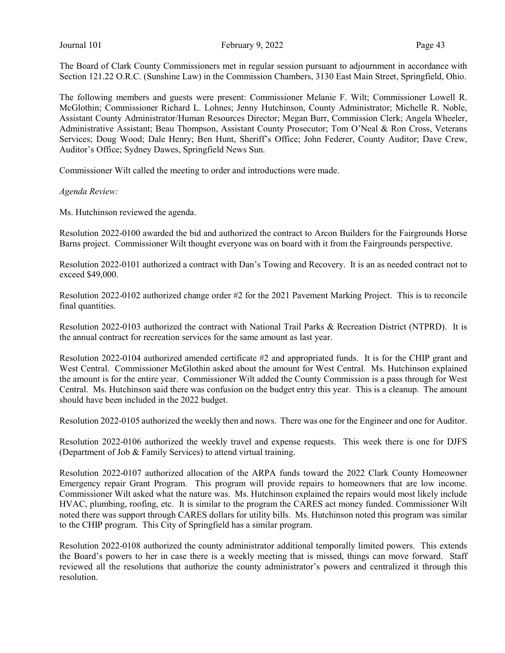The Board of Clark County Commissioners met in regular session pursuant to adjournment in accordance with Section 121.22 O.R.C. (Sunshine Law) in the Commission Chambers, 3130 East Main Street, Springfield, Ohio.

The following members and guests were present: Commissioner Melanie F. Wilt; Commissioner Lowell R. McGlothin; Commissioner Richard L. Lohnes; Jenny Hutchinson, County Administrator; Michelle R. Noble, Assistant County Administrator/Human Resources Director; Megan Burr, Commission Clerk; Angela Wheeler, Administrative Assistant; Beau Thompson, Assistant County Prosecutor; Tom O'Neal & Ron Cross, Veterans Services; Doug Wood; Dale Henry; Ben Hunt, Sheriff's Office; John Federer, County Auditor; Dave Crew, Auditor's Office; Sydney Dawes, Springfield News Sun.

Commissioner Wilt called the meeting to order and introductions were made.

Agenda Review:

Ms. Hutchinson reviewed the agenda.

Resolution 2022-0100 awarded the bid and authorized the contract to Arcon Builders for the Fairgrounds Horse Barns project. Commissioner Wilt thought everyone was on board with it from the Fairgrounds perspective.

Resolution 2022-0101 authorized a contract with Dan's Towing and Recovery. It is an as needed contract not to exceed \$49,000.

Resolution 2022-0102 authorized change order #2 for the 2021 Pavement Marking Project. This is to reconcile final quantities.

Resolution 2022-0103 authorized the contract with National Trail Parks & Recreation District (NTPRD). It is the annual contract for recreation services for the same amount as last year.

Resolution 2022-0104 authorized amended certificate #2 and appropriated funds. It is for the CHIP grant and West Central. Commissioner McGlothin asked about the amount for West Central. Ms. Hutchinson explained the amount is for the entire year. Commissioner Wilt added the County Commission is a pass through for West Central. Ms. Hutchinson said there was confusion on the budget entry this year. This is a cleanup. The amount should have been included in the 2022 budget.

Resolution 2022-0105 authorized the weekly then and nows. There was one for the Engineer and one for Auditor.

Resolution 2022-0106 authorized the weekly travel and expense requests. This week there is one for DJFS (Department of Job & Family Services) to attend virtual training.

Resolution 2022-0107 authorized allocation of the ARPA funds toward the 2022 Clark County Homeowner Emergency repair Grant Program. This program will provide repairs to homeowners that are low income. Commissioner Wilt asked what the nature was. Ms. Hutchinson explained the repairs would most likely include HVAC, plumbing, roofing, etc. It is similar to the program the CARES act money funded. Commissioner Wilt noted there was support through CARES dollars for utility bills. Ms. Hutchinson noted this program was similar to the CHIP program. This City of Springfield has a similar program.

Resolution 2022-0108 authorized the county administrator additional temporally limited powers. This extends the Board's powers to her in case there is a weekly meeting that is missed, things can move forward. Staff reviewed all the resolutions that authorize the county administrator's powers and centralized it through this resolution.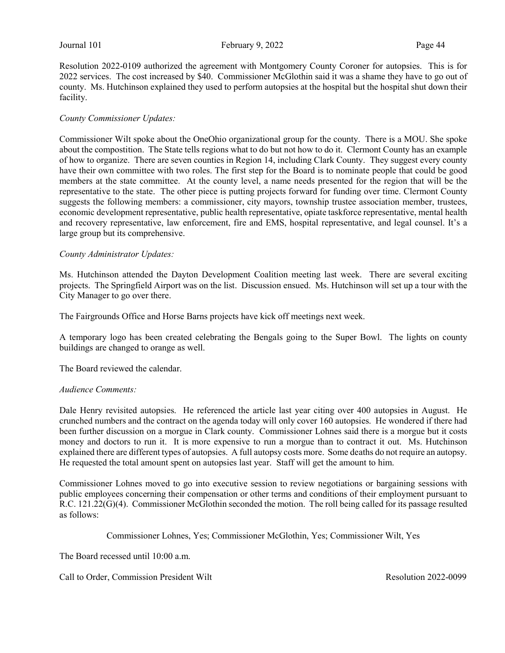Resolution 2022-0109 authorized the agreement with Montgomery County Coroner for autopsies. This is for 2022 services. The cost increased by \$40. Commissioner McGlothin said it was a shame they have to go out of county. Ms. Hutchinson explained they used to perform autopsies at the hospital but the hospital shut down their facility.

### County Commissioner Updates:

Commissioner Wilt spoke about the OneOhio organizational group for the county. There is a MOU. She spoke about the compostition. The State tells regions what to do but not how to do it. Clermont County has an example of how to organize. There are seven counties in Region 14, including Clark County. They suggest every county have their own committee with two roles. The first step for the Board is to nominate people that could be good members at the state committee. At the county level, a name needs presented for the region that will be the representative to the state. The other piece is putting projects forward for funding over time. Clermont County suggests the following members: a commissioner, city mayors, township trustee association member, trustees, economic development representative, public health representative, opiate taskforce representative, mental health and recovery representative, law enforcement, fire and EMS, hospital representative, and legal counsel. It's a large group but its comprehensive.

#### County Administrator Updates:

Ms. Hutchinson attended the Dayton Development Coalition meeting last week. There are several exciting projects. The Springfield Airport was on the list. Discussion ensued. Ms. Hutchinson will set up a tour with the City Manager to go over there.

The Fairgrounds Office and Horse Barns projects have kick off meetings next week.

A temporary logo has been created celebrating the Bengals going to the Super Bowl. The lights on county buildings are changed to orange as well.

The Board reviewed the calendar.

#### Audience Comments:

Dale Henry revisited autopsies. He referenced the article last year citing over 400 autopsies in August. He crunched numbers and the contract on the agenda today will only cover 160 autopsies. He wondered if there had been further discussion on a morgue in Clark county. Commissioner Lohnes said there is a morgue but it costs money and doctors to run it. It is more expensive to run a morgue than to contract it out. Ms. Hutchinson explained there are different types of autopsies. A full autopsy costs more. Some deaths do not require an autopsy. He requested the total amount spent on autopsies last year. Staff will get the amount to him.

Commissioner Lohnes moved to go into executive session to review negotiations or bargaining sessions with public employees concerning their compensation or other terms and conditions of their employment pursuant to R.C. 121.22(G)(4). Commissioner McGlothin seconded the motion. The roll being called for its passage resulted as follows:

Commissioner Lohnes, Yes; Commissioner McGlothin, Yes; Commissioner Wilt, Yes

The Board recessed until 10:00 a.m.

Call to Order, Commission President Wilt **Resolution 2022-0099** Resolution 2022-0099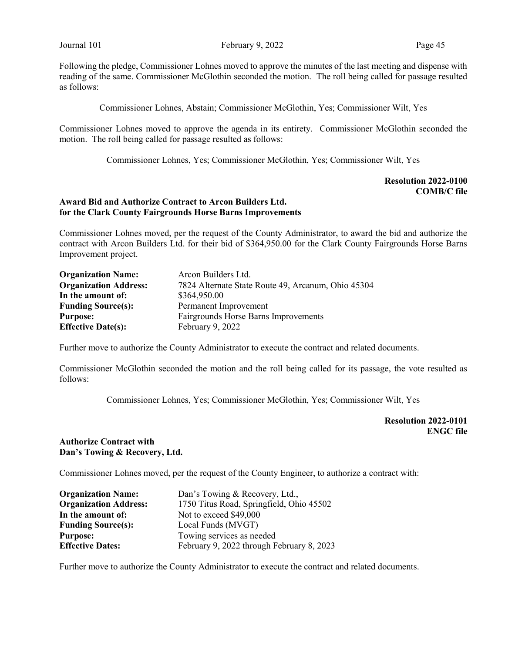Following the pledge, Commissioner Lohnes moved to approve the minutes of the last meeting and dispense with reading of the same. Commissioner McGlothin seconded the motion. The roll being called for passage resulted as follows:

Commissioner Lohnes, Abstain; Commissioner McGlothin, Yes; Commissioner Wilt, Yes

Commissioner Lohnes moved to approve the agenda in its entirety. Commissioner McGlothin seconded the motion. The roll being called for passage resulted as follows:

Commissioner Lohnes, Yes; Commissioner McGlothin, Yes; Commissioner Wilt, Yes

#### Resolution 2022-0100 COMB/C file

#### Award Bid and Authorize Contract to Arcon Builders Ltd. for the Clark County Fairgrounds Horse Barns Improvements

Commissioner Lohnes moved, per the request of the County Administrator, to award the bid and authorize the contract with Arcon Builders Ltd. for their bid of \$364,950.00 for the Clark County Fairgrounds Horse Barns Improvement project.

| <b>Organization Name:</b>    | Arcon Builders Ltd.                                |
|------------------------------|----------------------------------------------------|
| <b>Organization Address:</b> | 7824 Alternate State Route 49, Arcanum, Ohio 45304 |
| In the amount of:            | \$364,950.00                                       |
| <b>Funding Source(s):</b>    | Permanent Improvement                              |
| <b>Purpose:</b>              | Fairgrounds Horse Barns Improvements               |
| <b>Effective Date(s):</b>    | February 9, 2022                                   |

Further move to authorize the County Administrator to execute the contract and related documents.

Commissioner McGlothin seconded the motion and the roll being called for its passage, the vote resulted as follows:

Commissioner Lohnes, Yes; Commissioner McGlothin, Yes; Commissioner Wilt, Yes

Resolution 2022-0101 ENGC file

### Authorize Contract with Dan's Towing & Recovery, Ltd.

Commissioner Lohnes moved, per the request of the County Engineer, to authorize a contract with:

| <b>Organization Name:</b>    | Dan's Towing & Recovery, Ltd.,            |
|------------------------------|-------------------------------------------|
| <b>Organization Address:</b> | 1750 Titus Road, Springfield, Ohio 45502  |
| In the amount of:            | Not to exceed \$49,000                    |
| <b>Funding Source(s):</b>    | Local Funds (MVGT)                        |
| <b>Purpose:</b>              | Towing services as needed                 |
| <b>Effective Dates:</b>      | February 9, 2022 through February 8, 2023 |

Further move to authorize the County Administrator to execute the contract and related documents.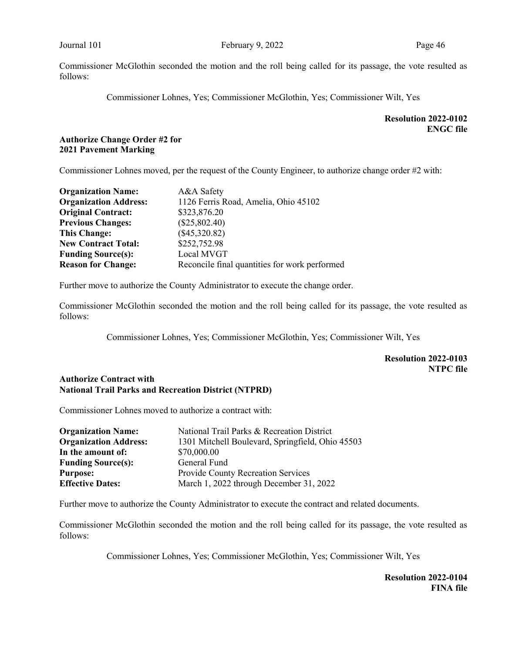Commissioner McGlothin seconded the motion and the roll being called for its passage, the vote resulted as follows:

Commissioner Lohnes, Yes; Commissioner McGlothin, Yes; Commissioner Wilt, Yes

# Resolution 2022-0102 ENGC file

# Authorize Change Order #2 for 2021 Pavement Marking

Commissioner Lohnes moved, per the request of the County Engineer, to authorize change order #2 with:

| <b>Organization Name:</b>    | A&A Safety                                    |
|------------------------------|-----------------------------------------------|
| <b>Organization Address:</b> | 1126 Ferris Road, Amelia, Ohio 45102          |
| <b>Original Contract:</b>    | \$323,876.20                                  |
| <b>Previous Changes:</b>     | $(\$25,802.40)$                               |
| <b>This Change:</b>          | $(\$45,320.82)$                               |
| <b>New Contract Total:</b>   | \$252,752.98                                  |
| <b>Funding Source(s):</b>    | Local MVGT                                    |
| <b>Reason for Change:</b>    | Reconcile final quantities for work performed |

Further move to authorize the County Administrator to execute the change order.

Commissioner McGlothin seconded the motion and the roll being called for its passage, the vote resulted as follows:

Commissioner Lohnes, Yes; Commissioner McGlothin, Yes; Commissioner Wilt, Yes

# Resolution 2022-0103 NTPC file

#### Authorize Contract with National Trail Parks and Recreation District (NTPRD)

Commissioner Lohnes moved to authorize a contract with:

| <b>Organization Name:</b>    | National Trail Parks & Recreation District       |
|------------------------------|--------------------------------------------------|
| <b>Organization Address:</b> | 1301 Mitchell Boulevard, Springfield, Ohio 45503 |
| In the amount of:            | \$70,000.00                                      |
| <b>Funding Source(s):</b>    | General Fund                                     |
| <b>Purpose:</b>              | Provide County Recreation Services               |
| <b>Effective Dates:</b>      | March 1, 2022 through December 31, 2022          |

Further move to authorize the County Administrator to execute the contract and related documents.

Commissioner McGlothin seconded the motion and the roll being called for its passage, the vote resulted as follows:

Commissioner Lohnes, Yes; Commissioner McGlothin, Yes; Commissioner Wilt, Yes

Resolution 2022-0104 FINA file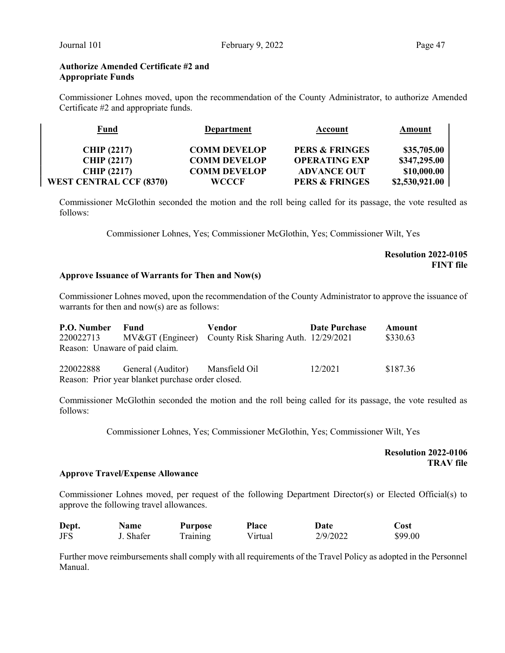#### Authorize Amended Certificate #2 and Appropriate Funds

Commissioner Lohnes moved, upon the recommendation of the County Administrator, to authorize Amended Certificate #2 and appropriate funds.

| <b>Fund</b>                    | <b>Department</b>   | Account                   | Amount         |
|--------------------------------|---------------------|---------------------------|----------------|
| <b>CHIP</b> (2217)             | <b>COMM DEVELOP</b> | <b>PERS &amp; FRINGES</b> | \$35,705.00    |
| <b>CHIP (2217)</b>             | <b>COMM DEVELOP</b> | <b>OPERATING EXP</b>      | \$347,295.00   |
| <b>CHIP (2217)</b>             | <b>COMM DEVELOP</b> | <b>ADVANCE OUT</b>        | \$10,000.00    |
| <b>WEST CENTRAL CCF (8370)</b> | WCCCF               | <b>PERS &amp; FRINGES</b> | \$2,530,921.00 |

Commissioner McGlothin seconded the motion and the roll being called for its passage, the vote resulted as follows:

Commissioner Lohnes, Yes; Commissioner McGlothin, Yes; Commissioner Wilt, Yes

### Resolution 2022-0105 FINT file

#### Approve Issuance of Warrants for Then and Now(s)

Commissioner Lohnes moved, upon the recommendation of the County Administrator to approve the issuance of warrants for then and now(s) are as follows:

| P.O. Number                    | - Fund                                            | Vendor                                              | <b>Date Purchase</b> | Amount   |
|--------------------------------|---------------------------------------------------|-----------------------------------------------------|----------------------|----------|
| 220022713                      |                                                   | MV> (Engineer) County Risk Sharing Auth. 12/29/2021 |                      | \$330.63 |
| Reason: Unaware of paid claim. |                                                   |                                                     |                      |          |
| 220022888                      | General (Auditor) Mansfield Oil                   |                                                     | 12/2021              | \$187.36 |
|                                | Reason: Prior year blanket purchase order closed. |                                                     |                      |          |

Commissioner McGlothin seconded the motion and the roll being called for its passage, the vote resulted as follows:

Commissioner Lohnes, Yes; Commissioner McGlothin, Yes; Commissioner Wilt, Yes

#### Resolution 2022-0106 TRAV file

#### Approve Travel/Expense Allowance

Commissioner Lohnes moved, per request of the following Department Director(s) or Elected Official(s) to approve the following travel allowances.

| Dept.      | <b>Name</b> | Purpose  | <b>Place</b> | Date     | Cost    |
|------------|-------------|----------|--------------|----------|---------|
| <b>JFS</b> | J. Shafer   | Training | Virtual      | 2/9/2022 | \$99.00 |

Further move reimbursements shall comply with all requirements of the Travel Policy as adopted in the Personnel Manual.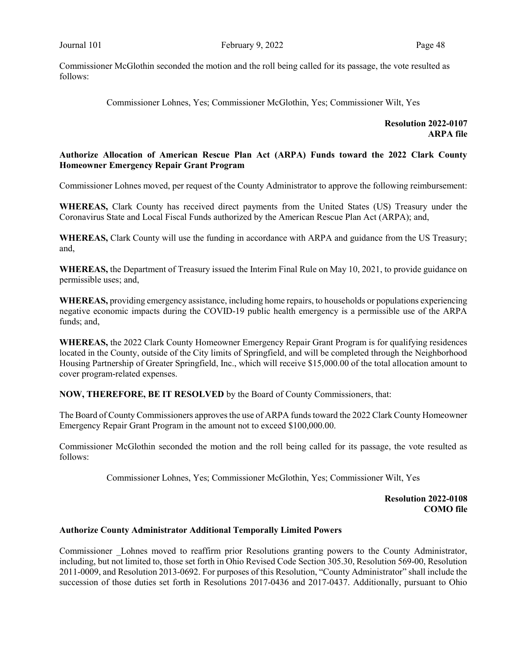Commissioner McGlothin seconded the motion and the roll being called for its passage, the vote resulted as follows:

Commissioner Lohnes, Yes; Commissioner McGlothin, Yes; Commissioner Wilt, Yes

Resolution 2022-0107 ARPA file

### Authorize Allocation of American Rescue Plan Act (ARPA) Funds toward the 2022 Clark County Homeowner Emergency Repair Grant Program

Commissioner Lohnes moved, per request of the County Administrator to approve the following reimbursement:

WHEREAS, Clark County has received direct payments from the United States (US) Treasury under the Coronavirus State and Local Fiscal Funds authorized by the American Rescue Plan Act (ARPA); and,

WHEREAS, Clark County will use the funding in accordance with ARPA and guidance from the US Treasury; and,

WHEREAS, the Department of Treasury issued the Interim Final Rule on May 10, 2021, to provide guidance on permissible uses; and,

WHEREAS, providing emergency assistance, including home repairs, to households or populations experiencing negative economic impacts during the COVID-19 public health emergency is a permissible use of the ARPA funds; and,

WHEREAS, the 2022 Clark County Homeowner Emergency Repair Grant Program is for qualifying residences located in the County, outside of the City limits of Springfield, and will be completed through the Neighborhood Housing Partnership of Greater Springfield, Inc., which will receive \$15,000.00 of the total allocation amount to cover program-related expenses.

NOW, THEREFORE, BE IT RESOLVED by the Board of County Commissioners, that:

The Board of County Commissioners approves the use of ARPA funds toward the 2022 Clark County Homeowner Emergency Repair Grant Program in the amount not to exceed \$100,000.00.

Commissioner McGlothin seconded the motion and the roll being called for its passage, the vote resulted as follows:

Commissioner Lohnes, Yes; Commissioner McGlothin, Yes; Commissioner Wilt, Yes

Resolution 2022-0108 COMO file

### Authorize County Administrator Additional Temporally Limited Powers

Commissioner \_Lohnes moved to reaffirm prior Resolutions granting powers to the County Administrator, including, but not limited to, those set forth in Ohio Revised Code Section 305.30, Resolution 569-00, Resolution 2011-0009, and Resolution 2013-0692. For purposes of this Resolution, "County Administrator" shall include the succession of those duties set forth in Resolutions 2017-0436 and 2017-0437. Additionally, pursuant to Ohio